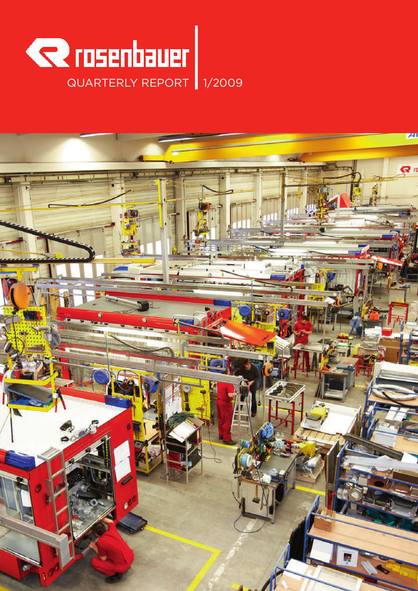

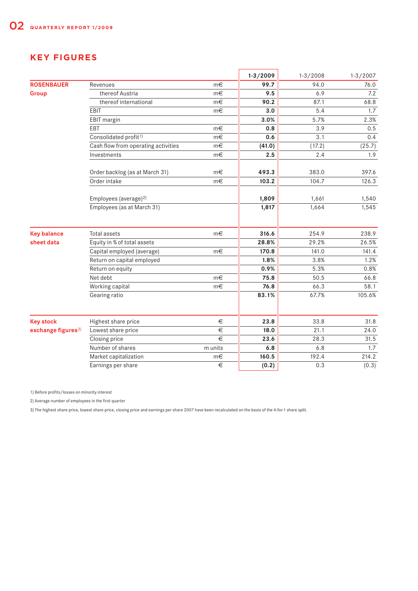# **KEY FIGURES**

|                                |                                     |         | $1 - 3 / 2009$ | $1 - 3 / 2008$ | $1 - 3 / 2007$ |
|--------------------------------|-------------------------------------|---------|----------------|----------------|----------------|
| <b>ROSENBAUER</b>              | Revenues                            | m€      | 99.7           | 94.0           | 76.0           |
| <b>Group</b>                   | thereof Austria                     | m€      | 9.5            | 6.9            | 7.2            |
|                                | thereof international               | m€      | 90.2           | 87.1           | 68.8           |
|                                | EBIT                                | $m \in$ | 3.0            | 5.4            | 1.7            |
|                                | EBIT margin                         |         | 3.0%           | 5.7%           | 2.3%           |
|                                | EBT                                 | m€      | 0.8            | 3.9            | 0.5            |
|                                | Consolidated profit <sup>1)</sup>   | m€      | 0.6            | 3.1            | 0.4            |
|                                | Cash flow from operating activities | $m \in$ | (41.0)         | (17.2)         | (25.7)         |
|                                | Investments                         | $m \in$ | 2.5            | 2.4            | 1.9            |
|                                | Order backlog (as at March 31)      | m€      | 493.3          | 383.0          | 397.6          |
|                                | Order intake                        | $m \in$ | 103.2          | 104.7          | 126.3          |
|                                | Employees (average) <sup>2)</sup>   |         | 1,809          | 1,661          | 1,540          |
|                                | Employees (as at March 31)          |         | 1,817          | 1,664          | 1,545          |
| <b>Key balance</b>             | Total assets                        | m€      | 316.6          | 254.9          | 238.9          |
| sheet data                     | Equity in % of total assets         |         | 28.8%          | 29.2%          | 26.5%          |
|                                | Capital employed (average)          | $m \in$ | 170.8          | 141.0          | 141.4          |
|                                | Return on capital employed          |         | 1.8%           | 3.8%           | 1.2%           |
|                                | Return on equity                    |         | 0.9%           | 5.3%           | 0.8%           |
|                                | Net debt                            | $m \in$ | 75.8           | 50.5           | 66.8           |
|                                | Working capital                     | m€      | 76.8           | 66.3           | 58.1           |
|                                | Gearing ratio                       |         | 83.1%          | 67.7%          | 105.6%         |
| <b>Key stock</b>               | Highest share price                 | $\in$   | 23.8           | 33.8           | 31.8           |
| exchange figures <sup>3)</sup> | Lowest share price                  | €       | 18.0           | 21.1           | 24.0           |
|                                | Closing price                       | €       | 23.6           | 28.3           | 31.5           |
|                                | Number of shares                    | m units | 6.8            | 6.8            | 1.7            |
|                                | Market capitalization               | m€      | 160.5          | 192.4          | 214.2          |
|                                | Earnings per share                  | $\in$   | (0.2)          | 0.3            | (0.3)          |

1) Before profits/losses on minority interest

2) Average number of employees in the first quarter

3) The highest share price, lowest share price, closing price and earnings per share 2007 have been recalculated on the basis of the 4-for-1 share split.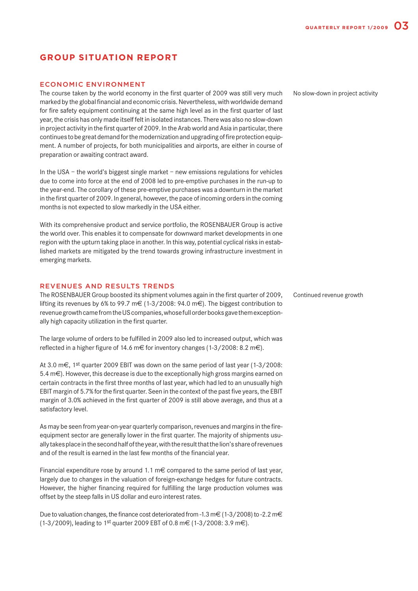# **GROUP SITUATION REPORT**

### ECONOMIC ENVIRONMENT

The course taken by the world economy in the first quarter of 2009 was still very much marked by the global financial and economic crisis. Nevertheless, with worldwide demand for fire safety equipment continuing at the same high level as in the first quarter of last year, the crisis has only made itself felt in isolated instances. There was also no slow-down in project activity in the first quarter of 2009. In the Arab world and Asia in particular, there continues to be great demand for the modernization and upgrading of fire protection equipment. A number of projects, for both municipalities and airports, are either in course of preparation or awaiting contract award.

In the USA – the world's biggest single market – new emissions regulations for vehicles due to come into force at the end of 2008 led to pre-emptive purchases in the run-up to the year-end. The corollary of these pre-emptive purchases was a downturn in the market in the first quarter of 2009. In general, however, the pace of incoming orders in the coming months is not expected to slow markedly in the USA either.

With its comprehensive product and service portfolio, the ROSENBAUER Group is active the world over. This enables it to compensate for downward market developments in one region with the upturn taking place in another. In this way, potential cyclical risks in established markets are mitigated by the trend towards growing infrastructure investment in emerging markets.

### REVENUES AND RESULTS TRENDS

The ROSENBAUER Group boosted its shipment volumes again in the first quarter of 2009, lifting its revenues by 6% to 99.7 m $\in$  (1-3/2008: 94.0 m $\in$ ). The biggest contribution to revenue growth came from the US companies, whose full order books gave them exceptionally high capacity utilization in the first quarter.

The large volume of orders to be fulfilled in 2009 also led to increased output, which was reflected in a higher figure of 14.6 m€ for inventory changes (1-3/2008: 8.2 m€).

At 3.0 m€, 1st quarter 2009 EBIT was down on the same period of last year (1-3/2008: 5.4 m€). However, this decrease is due to the exceptionally high gross margins earned on certain contracts in the first three months of last year, which had led to an unusually high EBIT margin of 5.7% for the first quarter. Seen in the context of the past five years, the EBIT margin of 3.0% achieved in the first quarter of 2009 is still above average, and thus at a satisfactory level.

As may be seen from year-on-year quarterly comparison, revenues and margins in the fireequipment sector are generally lower in the first quarter. The majority of shipments usually takes place in the second half of the year, with the result that the lion's share of revenues and of the result is earned in the last few months of the financial year.

Financial expenditure rose by around 1.1 m $\epsilon$  compared to the same period of last year, largely due to changes in the valuation of foreign-exchange hedges for future contracts. However, the higher financing required for fulfilling the large production volumes was offset by the steep falls in US dollar and euro interest rates.

Due to valuation changes, the finance cost deteriorated from -1.3 m  $\in$  (1-3/2008) to -2.2 m  $\in$ (1-3/2009), leading to 1<sup>st</sup> quarter 2009 EBT of 0.8 m€ (1-3/2008: 3.9 m€).

No slow-down in project activity

Continued revenue growth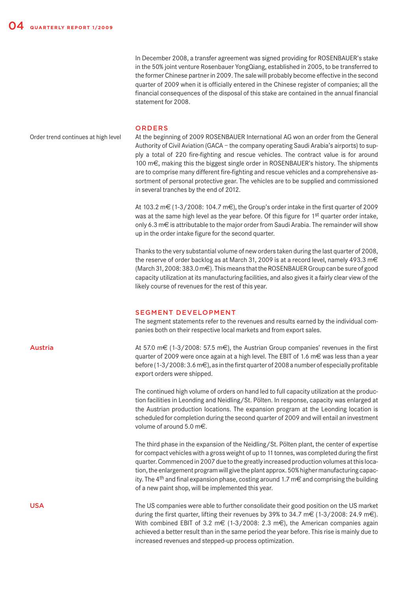In December 2008, a transfer agreement was signed providing for ROSENBAUER's stake in the 50% joint venture Rosenbauer YongQiang, established in 2005, to be transferred to the former Chinese partner in 2009. The sale will probably become effective in the second quarter of 2009 when it is officially entered in the Chinese register of companies; all the financial consequences of the disposal of this stake are contained in the annual financial statement for 2008.

#### ORDERS

At the beginning of 2009 ROSENBAUER International AG won an order from the General Authority of Civil Aviation (GACA – the company operating Saudi Arabia's airports) to supply a total of 220 fire-fighting and rescue vehicles. The contract value is for around 100 m€, making this the biggest single order in ROSENBAUER's history. The shipments are to comprise many different fire-fighting and rescue vehicles and a comprehensive assortment of personal protective gear. The vehicles are to be supplied and commissioned in several tranches by the end of 2012. Order trend continues at high level

> At 103.2 m  $\in$  (1-3/2008: 104.7 m  $\in$ ), the Group's order intake in the first quarter of 2009 was at the same high level as the year before. Of this figure for 1<sup>st</sup> quarter order intake, only 6.3 m $\epsilon$  is attributable to the major order from Saudi Arabia. The remainder will show up in the order intake figure for the second quarter.

> Thanks to the very substantial volume of new orders taken during the last quarter of 2008, the reserve of order backlog as at March 31, 2009 is at a record level, namely 493.3 m $\in$ (March 31, 2008: 383.0 m€). This means that the ROSENBAUER Group can be sure of good capacity utilization at its manufacturing facilities, and also gives it a fairly clear view of the likely course of revenues for the rest of this year.

### SEGMENT DEVELOPMENT

The segment statements refer to the revenues and results earned by the individual companies both on their respective local markets and from export sales.

At 57.0 m€ (1-3/2008: 57.5 m€), the Austrian Group companies' revenues in the first quarter of 2009 were once again at a high level. The EBIT of 1.6  $m \in \text{was}$  less than a year before (1-3/2008: 3.6 m€), as in the first quarter of 2008 a number of especially profitable export orders were shipped.

The continued high volume of orders on hand led to full capacity utilization at the production facilities in Leonding and Neidling/St. Pölten. In response, capacity was enlarged at the Austrian production locations. The expansion program at the Leonding location is scheduled for completion during the second quarter of 2009 and will entail an investment volume of around 5.0 m€.

The third phase in the expansion of the Neidling/St. Pölten plant, the center of expertise for compact vehicles with a gross weight of up to 11 tonnes, was completed during the first quarter. Commenced in 2007 due to the greatly increased production volumes at this location, the enlargement program will give the plant approx. 50% higher manufacturing capacity. The 4<sup>th</sup> and final expansion phase, costing around 1.7 m€ and comprising the building of a new paint shop, will be implemented this year.

The US companies were able to further consolidate their good position on the US market during the first quarter, lifting their revenues by 39% to 34.7 m  $\epsilon$  (1-3/2008: 24.9 m $\epsilon$ ). With combined EBIT of 3.2 m  $\epsilon$  (1-3/2008: 2.3 m $\epsilon$ ), the American companies again achieved a better result than in the same period the year before. This rise is mainly due to increased revenues and stepped-up process optimization.

Austria

USA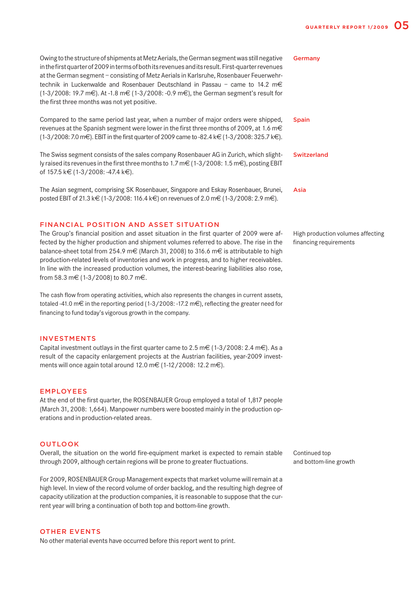| Owing to the structure of shipments at Metz Aerials, the German segment was still negative<br>in the first quarter of 2009 in terms of both its revenues and its result. First-quarter revenues<br>at the German segment - consisting of Metz Aerials in Karlsruhe, Rosenbauer Feuerwehr-<br>technik in Luckenwalde and Rosenbauer Deutschland in Passau – came to 14.2 m€<br>(1-3/2008: 19.7 m€). At -1.8 m€ (1-3/2008: -0.9 m€), the German segment's result for<br>the first three months was not yet positive. | Germany            |
|--------------------------------------------------------------------------------------------------------------------------------------------------------------------------------------------------------------------------------------------------------------------------------------------------------------------------------------------------------------------------------------------------------------------------------------------------------------------------------------------------------------------|--------------------|
| Compared to the same period last year, when a number of major orders were shipped,<br>revenues at the Spanish segment were lower in the first three months of 2009, at 1.6 m€<br>$(1-3/2008: 7.0 \text{ m} \text{€})$ . EBIT in the first quarter of 2009 came to -82.4 k $\in (1-3/2008: 325.7 \text{ k})$ .                                                                                                                                                                                                      | <b>Spain</b>       |
| The Swiss segment consists of the sales company Rosenbauer AG in Zurich, which slight-<br>ly raised its revenues in the first three months to 1.7 m $\in$ (1-3/2008: 1.5 m $\in$ ), posting EBIT<br>of 157.5 k€ (1-3/2008: -47.4 k€).                                                                                                                                                                                                                                                                              | <b>Switzerland</b> |
| The Asian segment, comprising SK Rosenbauer, Singapore and Eskay Rosenbauer, Brunei,                                                                                                                                                                                                                                                                                                                                                                                                                               | Asia               |

### FINANCIAL POSITION AND ASSET SITUATION

The Group's financial position and asset situation in the first quarter of 2009 were affected by the higher production and shipment volumes referred to above. The rise in the balance-sheet total from 254.9 m  $\in$  (March 31, 2008) to 316.6 m  $\in$  is attributable to high production-related levels of inventories and work in progress, and to higher receivables. In line with the increased production volumes, the interest-bearing liabilities also rose, from 58.3 m€ (1-3/2008) to 80.7 m€.

posted EBIT of 21.3 k€ (1-3/2008: 116.4 k€) on revenues of 2.0 m€ (1-3/2008: 2.9 m€).

The cash flow from operating activities, which also represents the changes in current assets, totaled -41.0 m $\in$  in the reporting period (1-3/2008: -17.2 m $\in$ ), reflecting the greater need for financing to fund today's vigorous growth in the company.

#### INVESTMENTS

Capital investment outlays in the first quarter came to 2.5 m  $\in$  (1-3/2008: 2.4 m  $\in$ ). As a result of the capacity enlargement projects at the Austrian facilities, year-2009 investments will once again total around 12.0 m€ (1-12/2008: 12.2 m€).

### EMPLOYEES

At the end of the first quarter, the ROSENBAUER Group employed a total of 1,817 people (March 31, 2008: 1,664). Manpower numbers were boosted mainly in the production operations and in production-related areas.

### OUTLOOK

Overall, the situation on the world fire-equipment market is expected to remain stable through 2009, although certain regions will be prone to greater fluctuations.

For 2009, ROSENBAUER Group Management expects that market volume will remain at a high level. In view of the record volume of order backlog, and the resulting high degree of capacity utilization at the production companies, it is reasonable to suppose that the current year will bring a continuation of both top and bottom-line growth.

#### OTHER EVENTS

No other material events have occurred before this report went to print.

High production volumes affecting financing requirements

Continued top and bottom-line growth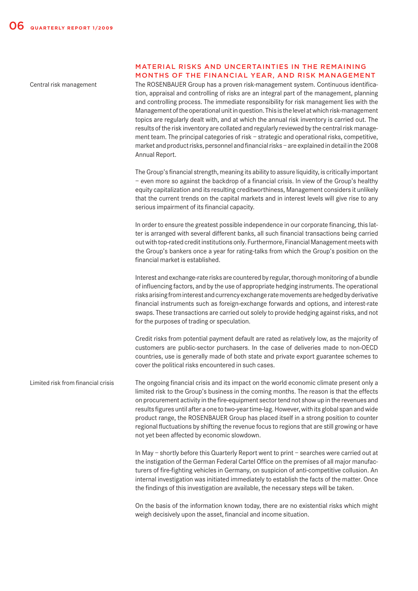Central risk management

### MATERIAL RISKS AND UNCERTAINTIES IN THE REMAINING MONTHS OF THE FINANCIAL YEAR, AND RISK MANAGEMENT

The ROSENBAUER Group has a proven risk-management system. Continuous identification, appraisal and controlling of risks are an integral part of the management, planning and controlling process. The immediate responsibility for risk management lies with the Management of the operational unit in question. This is the level at which risk-management topics are regularly dealt with, and at which the annual risk inventory is carried out. The results of the risk inventory are collated and regularly reviewed by the central risk management team. The principal categories of risk – strategic and operational risks, competitive, market and product risks, personnel and financial risks – are explained in detail in the 2008 Annual Report.

The Group's financial strength, meaning its ability to assure liquidity, is critically important – even more so against the backdrop of a financial crisis. In view of the Group's healthy equity capitalization and its resulting creditworthiness, Management considers it unlikely that the current trends on the capital markets and in interest levels will give rise to any serious impairment of its financial capacity.

In order to ensure the greatest possible independence in our corporate financing, this latter is arranged with several different banks, all such financial transactions being carried out with top-rated credit institutions only. Furthermore, Financial Management meets with the Group's bankers once a year for rating-talks from which the Group's position on the financial market is established.

Interest and exchange-rate risks are countered by regular, thorough monitoring of a bundle of influencing factors, and by the use of appropriate hedging instruments. The operational risks arising from interest and currency exchange rate movements are hedged by derivative financial instruments such as foreign-exchange forwards and options, and interest-rate swaps. These transactions are carried out solely to provide hedging against risks, and not for the purposes of trading or speculation.

Credit risks from potential payment default are rated as relatively low, as the majority of customers are public-sector purchasers. In the case of deliveries made to non-OECD countries, use is generally made of both state and private export guarantee schemes to cover the political risks encountered in such cases.

The ongoing financial crisis and its impact on the world economic climate present only a limited risk to the Group's business in the coming months. The reason is that the effects on procurement activity in the fire-equipment sector tend not show up in the revenues and results figures until after a one to two-year time-lag. However, with its global span and wide product range, the ROSENBAUER Group has placed itself in a strong position to counter regional fluctuations by shifting the revenue focus to regions that are still growing or have not yet been affected by economic slowdown. Limited risk from financial crisis

> In May – shortly before this Quarterly Report went to print – searches were carried out at the instigation of the German Federal Cartel Office on the premises of all major manufacturers of fire-fighting vehicles in Germany, on suspicion of anti-competitive collusion. An internal investigation was initiated immediately to establish the facts of the matter. Once the findings of this investigation are available, the necessary steps will be taken.

> On the basis of the information known today, there are no existential risks which might weigh decisively upon the asset, financial and income situation.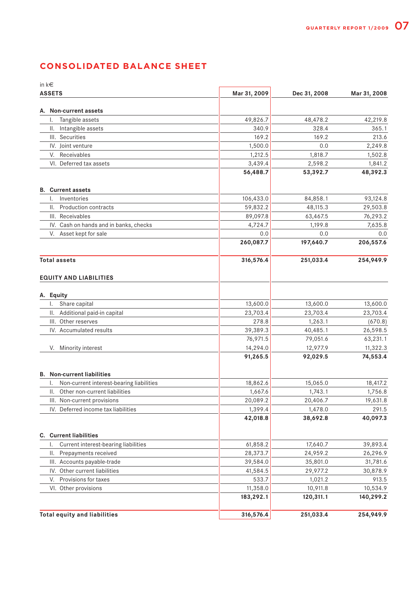# **CONSOLIDATED BALANCE SHEET**

| in $k \in$                                     |              |              |              |  |
|------------------------------------------------|--------------|--------------|--------------|--|
| <b>ASSETS</b>                                  | Mar 31, 2009 | Dec 31, 2008 | Mar 31, 2008 |  |
| A. Non-current assets                          |              |              |              |  |
| Tangible assets<br>I.                          | 49,826.7     | 48,478.2     | 42,219.8     |  |
| Intangible assets<br>II.                       | 340.9        | 328.4        | 365.1        |  |
| III. Securities                                | 169.2        | 169.2        | 213.6        |  |
| IV. Joint venture                              | 1,500.0      | 0.0          | 2,249.8      |  |
| V. Receivables                                 | 1,212.5      | 1,818.7      | 1,502.8      |  |
| VI. Deferred tax assets                        | 3,439.4      | 2,598.2      | 1,841.2      |  |
|                                                | 56,488.7     | 53,392.7     | 48,392.3     |  |
| <b>B.</b> Current assets                       |              |              |              |  |
| Inventories<br>I.                              | 106,433.0    | 84,858.1     | 93,124.8     |  |
| Production contracts<br>II.                    | 59,832.2     | 48,115.3     | 29,503.8     |  |
| III. Receivables                               | 89,097.8     | 63,467.5     | 76,293.2     |  |
| IV. Cash on hands and in banks, checks         | 4,724.7      | 1,199.8      | 7,635.8      |  |
| Asset kept for sale<br>V.                      | 0.0          | 0.0          | 0.0          |  |
|                                                | 260,087.7    | 197,640.7    | 206,557.6    |  |
| <b>Total assets</b>                            | 316,576.4    | 251,033.4    | 254,949.9    |  |
| <b>EQUITY AND LIABILITIES</b>                  |              |              |              |  |
| A. Equity                                      |              |              |              |  |
| Share capital<br>Ι.                            | 13,600.0     | 13,600.0     | 13,600.0     |  |
| Additional paid-in capital<br>II.              | 23,703.4     | 23,703.4     | 23,703.4     |  |
| Other reserves<br>III.                         | 278.8        | 1,263.1      | (670.8)      |  |
| IV. Accumulated results                        | 39,389.3     | 40,485.1     | 26,598.5     |  |
|                                                | 76,971.5     | 79,051.6     | 63,231.1     |  |
| V. Minority interest                           | 14,294.0     | 12,977.9     | 11,322.3     |  |
|                                                | 91,265.5     | 92,029.5     | 74,553.4     |  |
| <b>B.</b> Non-current liabilities              |              |              |              |  |
| Non-current interest-bearing liabilities<br>Ι. | 18,862.6     | 15,065.0     | 18,417.2     |  |
| II. Other non-current liabilities              | 1,667.6      | 1,743.1      | 1,756.8      |  |
| III. Non-current provisions                    | 20,089.2     | 20,406.7     | 19,631.8     |  |
| IV. Deferred income tax liabilities            | 1,399.4      | 1,478.0      | 291.5        |  |
|                                                | 42,018.8     | 38,692.8     | 40,097.3     |  |
| <b>C.</b> Current liabilities                  |              |              |              |  |
| Current interest-bearing liabilities<br>I.     | 61,858.2     | 17,640.7     | 39,893.4     |  |
| Prepayments received<br>Ш.                     | 28,373.7     | 24,959.2     | 26,296.9     |  |
| III. Accounts payable-trade                    | 39,584.0     | 35,801.0     | 31,781.6     |  |
| IV. Other current liabilities                  | 41,584.5     | 29,977.2     | 30,878.9     |  |
| Provisions for taxes<br>V.                     | 533.7        | 1,021.2      | 913.5        |  |
| VI. Other provisions                           | 11,358.0     | 10,911.8     | 10,534.9     |  |
|                                                | 183,292.1    | 120,311.1    | 140,299.2    |  |
| <b>Total equity and liabilities</b>            | 316,576.4    | 251,033.4    | 254,949.9    |  |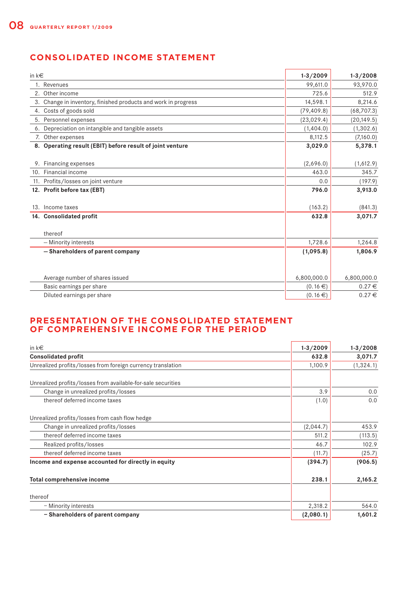# **CONSOLIDATED INCOME STATEMENT**

| in $k \in$ |                                                                | $1 - 3 / 2009$ | $1 - 3 / 2008$ |
|------------|----------------------------------------------------------------|----------------|----------------|
|            | 1. Revenues                                                    | 99,611.0       | 93,970.0       |
|            | 2. Other income                                                | 725.6          | 512.9          |
|            | 3. Change in inventory, finished products and work in progress | 14,598.1       | 8,214.6        |
|            | 4. Costs of goods sold                                         | (79, 409.8)    | (68, 707.3)    |
|            | 5. Personnel expenses                                          | (23,029.4)     | (20, 149.5)    |
|            | 6. Depreciation on intangible and tangible assets              | (1,404.0)      | (1,302.6)      |
|            | 7. Other expenses                                              | 8,112.5        | (7,160.0)      |
|            | 8. Operating result (EBIT) before result of joint venture      | 3,029.0        | 5,378.1        |
|            |                                                                |                |                |
|            | 9. Financing expenses                                          | (2,696.0)      | (1,612.9)      |
|            | 10. Financial income                                           | 463.0          | 345.7          |
|            | 11. Profits/losses on joint venture                            | 0.0            | (197.9)        |
|            | 12. Profit before tax (EBT)                                    | 796.0          | 3,913.0        |
|            | 13. Income taxes                                               | (163.2)        | (841.3)        |
|            | 14. Consolidated profit                                        | 632.8          | 3,071.7        |
|            | thereof                                                        |                |                |
|            | - Minority interests                                           | 1,728.6        | 1,264.8        |
|            | - Shareholders of parent company                               | (1,095.8)      | 1,806.9        |
|            |                                                                |                |                |
|            | Average number of shares issued                                | 6,800,000.0    | 6,800,000.0    |
|            | Basic earnings per share                                       | (0.16€)        | $0.27 \in$     |
|            | Diluted earnings per share                                     | (0.16€)        | $0.27 \in$     |

## **PRESENTATION OF THE CONSOLIDATED STATEMENT OF COMPREHENSIVE INCOME FOR THE PERIOD**

| in $k \in$                                                   | $1 - 3 / 2009$ | $1 - 3 / 2008$ |
|--------------------------------------------------------------|----------------|----------------|
| <b>Consolidated profit</b>                                   | 632.8          | 3,071.7        |
| Unrealized profits/losses from foreign currency translation  | 1,100.9        | (1, 324.1)     |
| Unrealized profits/losses from available-for-sale securities |                |                |
| Change in unrealized profits/losses                          | 3.9            | 0.0            |
| thereof deferred income taxes                                | (1.0)          | 0.0            |
| Unrealized profits/losses from cash flow hedge               |                |                |
| Change in unrealized profits/losses                          | (2,044.7)      | 453.9          |
| thereof deferred income taxes                                | 511.2          | (113.5)        |
| Realized profits/losses                                      | 46.7           | 102.9          |
| thereof deferred income taxes                                | (11.7)         | (25.7)         |
| Income and expense accounted for directly in equity          | (394.7)        | (906.5)        |
| Total comprehensive income                                   | 238.1          | 2,165.2        |
| thereof                                                      |                |                |
| - Minority interests                                         | 2,318.2        | 564.0          |
| - Shareholders of parent company                             | (2,080.1)      | 1,601.2        |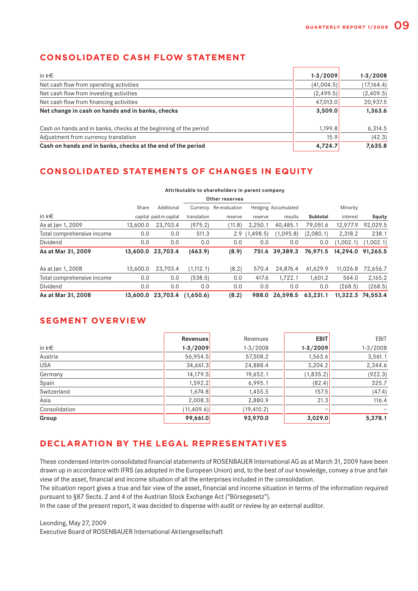## **CONSOLIDATED CASH FLOW STATEMENT**

| in $k \in$                                                        | $1 - 3 / 2009$ | $1 - 3 / 2008$ |
|-------------------------------------------------------------------|----------------|----------------|
| Net cash flow from operating activities                           | (41,004.5)     | (17, 164.4)    |
| Net cash flow from investing activities                           | (2, 499.5)     | (2,409.5)      |
| Net cash flow from financing activities                           | 47,013.0       | 20,937.5       |
| Net change in cash on hands and in banks, checks                  | 3,509.0        | 1,363.6        |
| Cash on hands and in banks, checks at the beginning of the period | 1,199.8        | 6,314.5        |
| Adjustment from currency translation                              | 15.9           | (42.3)         |
| Cash on hands and in banks, checks at the end of the period       | 4,724.7        | 7,635.8        |

# **CONSOLIDATED STATEMENTS OF CHANGES IN EQUITY**

#### **Attributable to shareholders in parent company**

|                            |          |                         |             | Other reserves |            |                            |           |           |                   |
|----------------------------|----------|-------------------------|-------------|----------------|------------|----------------------------|-----------|-----------|-------------------|
|                            | Share    | Additional              | Currency    | Re-evaluation  |            | <b>Hedging Accumulated</b> |           | Minority  |                   |
| in $k \in$                 |          | capital paid-in capital | translation | reserve        | reserve    | results                    | Subtotal  | interest  | <b>Equity</b>     |
| As at Jan 1, 2009          | 13,600.0 | 23,703.4                | (975.2)     | (11.8)         | 2.250.1    | 40,485.1                   | 79,051.6  | 12,977.9  | 92,029.5          |
| Total comprehensive income | 0.0      | 0.0                     | 511.3       | 2.9            | (1, 498.5) | (1,095.8)                  | (2,080.1) | 2.318.2   | 238.1             |
| Dividend                   | 0.0      | 0.0                     | 0.0         | 0.0            | 0.0        | 0.0                        | 0.0       | (1.002.1) | (1,002.1)         |
| As at Mar 31, 2009         |          | 13,600.0 23,703.4       | (463.9)     | (8.9)          |            | 751.6 39,389.3             | 76,971.5  |           | 14,294.0 91,265.5 |
| As at Jan 1, 2008          | 13,600.0 | 23.703.4                | (1.112.1)   | (8.2)          | 570.4      | 24.876.4                   | 61.629.9  | 11.026.8  | 72.656.7          |
| Total comprehensive income | 0.0      | 0.0                     | (538.5)     | 0.0            | 417.6      | 1,722.1                    | 1.601.2   | 564.0     | 2,165.2           |
| Dividend                   | 0.0      | 0.0                     | 0.0         | 0.0            | 0.0        | 0.0                        | 0.0       | (268.5)   | (268.5)           |
| As at Mar 31, 2008         |          | 13.600.0 23.703.4       | (1,650.6)   | (8.2)          | 988.0      | 26,598.5                   | 63,231.1  |           | 11.322.3 74.553.4 |

## **SEGMENT OVERVIEW**

|               | Revenues       | Revenues       | <b>EBIT</b>    | EBIT           |
|---------------|----------------|----------------|----------------|----------------|
| in $k \in$    | $1 - 3 / 2009$ | $1 - 3 / 2008$ | $1 - 3 / 2009$ | $1 - 3 / 2008$ |
| Austria       | 56,954.5       | 57,508.2       | 1,563.6        | 3,561.1        |
| <b>USA</b>    | 34,661.3       | 24,888.4       | 3,204.2        | 2,344.6        |
| Germany       | 14,179.5       | 19,652.1       | (1, 835.2)     | (922.3)        |
| Spain         | 1,592.2        | 6,995.1        | (82.4)         | 325.7          |
| Switzerland   | 1,674.8        | 1,455.5        | 157.5          | (47.4)         |
| Asia          | 2,008.3        | 2,880.9        | 21.3           | 116.4          |
| Consolidation | (11, 409.6)    | (19, 410.2)    |                |                |
| Group         | 99,661.0       | 93,970.0       | 3,029.0        | 5,378.1        |

# **DECLARATION BY THE LEGAL REPRESENTATIVES**

These condensed interim consolidated financial statements of ROSENBAUER International AG as at March 31, 2009 have been drawn up in accordance with IFRS (as adopted in the European Union) and, to the best of our knowledge, convey a true and fair view of the asset, financial and income situation of all the enterprises included in the consolidation.

The situation report gives a true and fair view of the asset, financial and income situation in terms of the information required pursuant to §87 Sects. 2 and 4 of the Austrian Stock Exchange Act ("Börsegesetz").

In the case of the present report, it was decided to dispense with audit or review by an external auditor.

Leonding, May 27, 2009

Executive Board of ROSENBAUER International Aktiengesellschaft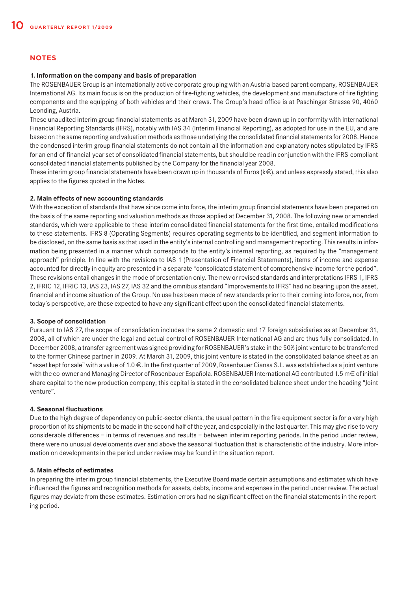### **NOTES**

### **1. Information on the company and basis of preparation**

The ROSENBAUER Group is an internationally active corporate grouping with an Austria-based parent company, ROSENBAUER International AG. Its main focus is on the production of fire-fighting vehicles, the development and manufacture of fire fighting components and the equipping of both vehicles and their crews. The Group's head office is at Paschinger Strasse 90, 4060 Leonding, Austria.

These unaudited interim group financial statements as at March 31, 2009 have been drawn up in conformity with International Financial Reporting Standards (IFRS), notably with IAS 34 (Interim Financial Reporting), as adopted for use in the EU, and are based on the same reporting and valuation methods as those underlying the consolidated financial statements for 2008. Hence the condensed interim group financial statements do not contain all the information and explanatory notes stipulated by IFRS for an end-of-financial-year set of consolidated financial statements, but should be read in conjunction with the IFRS-compliant consolidated financial statements published by the Company for the financial year 2008.

These interim group financial statements have been drawn up in thousands of Euros ( $k \in$ ), and unless expressly stated, this also applies to the figures quoted in the Notes.

### **2. Main effects of new accounting standards**

With the exception of standards that have since come into force, the interim group financial statements have been prepared on the basis of the same reporting and valuation methods as those applied at December 31, 2008. The following new or amended standards, which were applicable to these interim consolidated financial statements for the first time, entailed modifications to these statements. IFRS 8 (Operating Segments) requires operating segments to be identified, and segment information to be disclosed, on the same basis as that used in the entity's internal controlling and management reporting. This results in information being presented in a manner which corresponds to the entity's internal reporting, as required by the "management approach" principle. In line with the revisions to IAS 1 (Presentation of Financial Statements), items of income and expense accounted for directly in equity are presented in a separate "consolidated statement of comprehensive income for the period". These revisions entail changes in the mode of presentation only. The new or revised standards and interpretations IFRS 1, IFRS 2, IFRIC 12, IFRIC 13, IAS 23, IAS 27, IAS 32 and the omnibus standard "Improvements to IFRS" had no bearing upon the asset, financial and income situation of the Group. No use has been made of new standards prior to their coming into force, nor, from today's perspective, are these expected to have any significant effect upon the consolidated financial statements.

### **3. Scope of consolidation**

Pursuant to IAS 27, the scope of consolidation includes the same 2 domestic and 17 foreign subsidiaries as at December 31, 2008, all of which are under the legal and actual control of ROSENBAUER International AG and are thus fully consolidated. In December 2008, a transfer agreement was signed providing for ROSENBAUER's stake in the 50% joint venture to be transferred to the former Chinese partner in 2009. At March 31, 2009, this joint venture is stated in the consolidated balance sheet as an "asset kept for sale" with a value of 1.0 €. In the first quarter of 2009, Rosenbauer Ciansa S.L. was established as a joint venture with the co-owner and Managing Director of Rosenbauer Española. ROSENBAUER International AG contributed 1.5 m€ of initial share capital to the new production company; this capital is stated in the consolidated balance sheet under the heading "Joint venture".

### **4. Seasonal fluctuations**

Due to the high degree of dependency on public-sector clients, the usual pattern in the fire equipment sector is for a very high proportion of its shipments to be made in the second half of the year, and especially in the last quarter. This may give rise to very considerable differences – in terms of revenues and results – between interim reporting periods. In the period under review, there were no unusual developments over and above the seasonal fluctuation that is characteristic of the industry. More information on developments in the period under review may be found in the situation report.

### **5. Main effects of estimates**

In preparing the interim group financial statements, the Executive Board made certain assumptions and estimates which have influenced the figures and recognition methods for assets, debts, income and expenses in the period under review. The actual figures may deviate from these estimates. Estimation errors had no significant effect on the financial statements in the reporting period.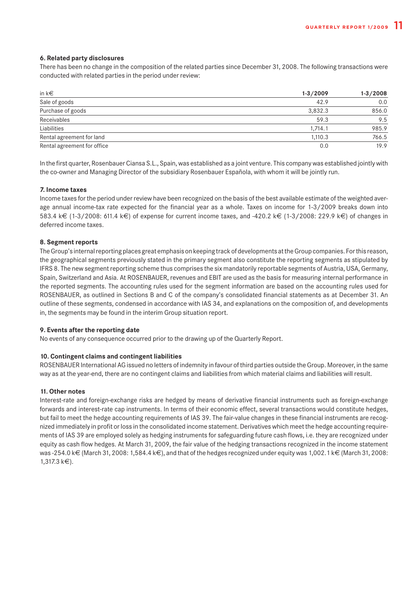### **6. Related party disclosures**

There has been no change in the composition of the related parties since December 31, 2008. The following transactions were conducted with related parties in the period under review:

| in $k \in$                  | $1 - 3 / 2009$ | $1-3/2008$ |
|-----------------------------|----------------|------------|
| Sale of goods               | 42.9           | 0.0        |
| Purchase of goods           | 3,832.3        | 856.0      |
| Receivables                 | 59.3           | 9.5        |
| Liabilities                 | 1,714.1        | 985.9      |
| Rental agreement for land   | 1,110.3        | 766.5      |
| Rental agreement for office | 0.0            | 19.9       |

In the first quarter, Rosenbauer Ciansa S.L., Spain, was established as a joint venture. This company was established jointly with the co-owner and Managing Director of the subsidiary Rosenbauer Española, with whom it will be jointly run.

### **7. Income taxes**

Income taxes for the period under review have been recognized on the basis of the best available estimate of the weighted average annual income-tax rate expected for the financial year as a whole. Taxes on income for 1-3/2009 breaks down into 583.4 k€ (1-3/2008: 611.4 k€) of expense for current income taxes, and -420.2 k€ (1-3/2008: 229.9 k€) of changes in deferred income taxes.

### **8. Segment reports**

The Group's internal reporting places great emphasis on keeping track of developments at the Group companies. For this reason, the geographical segments previously stated in the primary segment also constitute the reporting segments as stipulated by IFRS 8. The new segment reporting scheme thus comprises the six mandatorily reportable segments of Austria, USA, Germany, Spain, Switzerland and Asia. At ROSENBAUER, revenues and EBIT are used as the basis for measuring internal performance in the reported segments. The accounting rules used for the segment information are based on the accounting rules used for ROSENBAUER, as outlined in Sections B and C of the company's consolidated financial statements as at December 31. An outline of these segments, condensed in accordance with IAS 34, and explanations on the composition of, and developments in, the segments may be found in the interim Group situation report.

### **9. Events after the reporting date**

No events of any consequence occurred prior to the drawing up of the Quarterly Report.

### **10. Contingent claims and contingent liabilities**

ROSENBAUER International AG issued no letters of indemnity in favour of third parties outside the Group. Moreover, in the same way as at the year-end, there are no contingent claims and liabilities from which material claims and liabilities will result.

#### **11. Other notes**

Interest-rate and foreign-exchange risks are hedged by means of derivative financial instruments such as foreign-exchange forwards and interest-rate cap instruments. In terms of their economic effect, several transactions would constitute hedges, but fail to meet the hedge accounting requirements of IAS 39. The fair-value changes in these financial instruments are recognized immediately in profit or loss in the consolidated income statement. Derivatives which meet the hedge accounting requirements of IAS 39 are employed solely as hedging instruments for safeguarding future cash flows, i.e. they are recognized under equity as cash flow hedges. At March 31, 2009, the fair value of the hedging transactions recognized in the income statement was -254.0 k€ (March 31, 2008: 1,584.4 k€), and that of the hedges recognized under equity was 1,002.1 k€ (March 31, 2008: 1,317.3 k€).